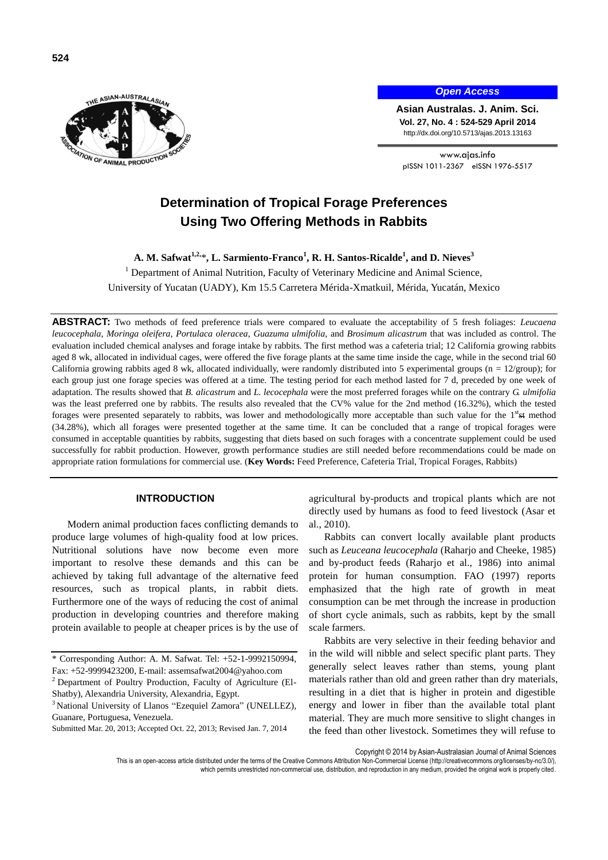

# *Open Access*

**Asian Australas. J. Anim. Sci. Vol. 27, No. 4 : 524-529 April 2014** http://dx.doi.org/10.5713/ajas.2013.13163

www.ajas.info pISSN 1011-2367 eISSN 1976-5517

# **Determination of Tropical Forage Preferences Using Two Offering Methods in Rabbits**

**A. M. Safwat1,2,** \***, L. Sarmiento-Franco<sup>1</sup> , R. H. Santos-Ricalde<sup>1</sup> , and D. Nieves<sup>3</sup>**

<sup>1</sup> Department of Animal Nutrition, Faculty of Veterinary Medicine and Animal Science,

University of Yucatan (UADY), Km 15.5 Carretera Mérida-Xmatkuil, Mérida, Yucatán, Mexico

**ABSTRACT:** Two methods of feed preference trials were compared to evaluate the acceptability of 5 fresh foliages: *Leucaena leucocephala*, *Moringa oleifera*, *Portulaca oleracea*, *Guazuma ulmifolia*, and *Brosimum alicastrum* that was included as control. The evaluation included chemical analyses and forage intake by rabbits. The first method was a cafeteria trial; 12 California growing rabbits aged 8 wk, allocated in individual cages, were offered the five forage plants at the same time inside the cage, while in the second trial 60 California growing rabbits aged 8 wk, allocated individually, were randomly distributed into 5 experimental groups ( $n = 12$ /group); for each group just one forage species was offered at a time. The testing period for each method lasted for 7 d, preceded by one week of adaptation. The results showed that *B. alicastrum* and *L. lecocephala* were the most preferred forages while on the contrary *G. ulmifolia*  was the least preferred one by rabbits. The results also revealed that the CV% value for the 2nd method (16.32%), which the tested forages were presented separately to rabbits, was lower and methodologically more acceptable than such value for the  $1<sup>st</sup> + t$  method (34.28%), which all forages were presented together at the same time. It can be concluded that a range of tropical forages were consumed in acceptable quantities by rabbits, suggesting that diets based on such forages with a concentrate supplement could be used successfully for rabbit production. However, growth performance studies are still needed before recommendations could be made on appropriate ration formulations for commercial use. (**Key Words:** Feed Preference, Cafeteria Trial, Tropical Forages, Rabbits)

# **INTRODUCTION**

Modern animal production faces conflicting demands to produce large volumes of high-quality food at low prices. Nutritional solutions have now become even more important to resolve these demands and this can be achieved by taking full advantage of the alternative feed resources, such as tropical plants, in rabbit diets. Furthermore one of the ways of reducing the cost of animal production in developing countries and therefore making protein available to people at cheaper prices is by the use of agricultural by-products and tropical plants which are not directly used by humans as food to feed livestock (Asar et al., 2010).

Rabbits can convert locally available plant products such as *Leuceana leucocephala* (Raharjo and Cheeke, 1985) and by-product feeds (Raharjo et al., 1986) into animal protein for human consumption. FAO (1997) reports emphasized that the high rate of growth in meat consumption can be met through the increase in production of short cycle animals, such as rabbits, kept by the small scale farmers.

Rabbits are very selective in their feeding behavior and in the wild will nibble and select specific plant parts. They generally select leaves rather than stems, young plant materials rather than old and green rather than dry materials, resulting in a diet that is higher in protein and digestible energy and lower in fiber than the available total plant material. They are much more sensitive to slight changes in the feed than other livestock. Sometimes they will refuse to

Copyright © 2014 by Asian-Australasian Journal of Animal Sciences

<sup>\*</sup> Corresponding Author: A. M. Safwat. Tel: +52-1-9992150994, Fax: +52-9999423200, E-mail: [assemsafwat2004@yahoo.com](mailto:assemsafwat2004@yahoo.com)

<sup>&</sup>lt;sup>2</sup> Department of Poultry Production, Faculty of Agriculture (El-Shatby), Alexandria University, Alexandria, Egypt.

<sup>&</sup>lt;sup>3</sup> National University of Llanos "Ezequiel Zamora" (UNELLEZ), Guanare, Portuguesa, Venezuela.

Submitted Mar. 20, 2013; Accepted Oct. 22, 2013; Revised Jan. 7, 2014

This is an open-access article distributed under the terms of the Creative Commons Attribution Non-Commercial License [\(http://creativecommons.org/licenses/by-nc/3.0/\),](http://creativecommons.org/licenses/by-nc/3.0/) which permits unrestricted non-commercial use, distribution, and reproduction in any medium, provided the original work is properly cited.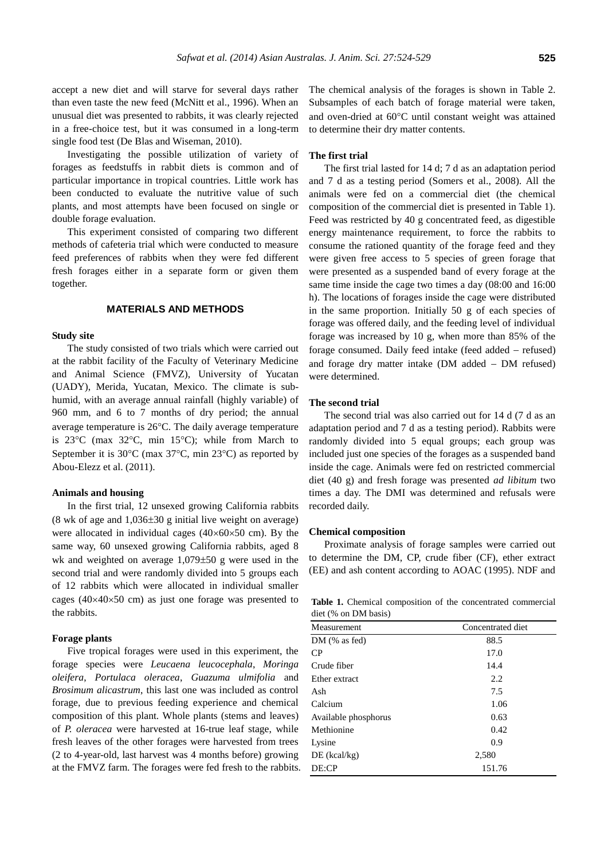accept a new diet and will starve for several days rather than even taste the new feed (McNitt et al., 1996). When an unusual diet was presented to rabbits, it was clearly rejected in a free-choice test, but it was consumed in a long-term single food test (De Blas and Wiseman, 2010).

Investigating the possible utilization of variety of forages as feedstuffs in rabbit diets is common and of particular importance in tropical countries. Little work has been conducted to evaluate the nutritive value of such plants, and most attempts have been focused on single or double forage evaluation.

This experiment consisted of comparing two different methods of cafeteria trial which were conducted to measure feed preferences of rabbits when they were fed different fresh forages either in a separate form or given them together.

# **MATERIALS AND METHODS**

# **Study site**

The study consisted of two trials which were carried out at the rabbit facility of the Faculty of Veterinary Medicine and Animal Science (FMVZ), University of Yucatan (UADY), Merida, Yucatan, Mexico. The climate is subhumid, with an average annual rainfall (highly variable) of 960 mm, and 6 to 7 months of dry period; the annual average temperature is  $26^{\circ}$ C. The daily average temperature is  $23^{\circ}$ C (max  $32^{\circ}$ C, min  $15^{\circ}$ C); while from March to September it is  $30^{\circ}$ C (max  $37^{\circ}$ C, min  $23^{\circ}$ C) as reported by Abou-Elezz et al. (2011).

#### **Animals and housing**

In the first trial, 12 unsexed growing California rabbits (8 wk of age and  $1,036\pm30$  g initial live weight on average) were allocated in individual cages  $(40\times60\times50$  cm). By the same way, 60 unsexed growing California rabbits, aged 8 wk and weighted on average  $1,079\pm50$  g were used in the second trial and were randomly divided into 5 groups each of 12 rabbits which were allocated in individual smaller cages ( $40\times40\times50$  cm) as just one forage was presented to the rabbits.

#### **Forage plants**

Five tropical forages were used in this experiment, the forage species were *Leucaena leucocephala*, *Moringa oleifera*, *Portulaca oleracea*, *Guazuma ulmifolia* and *Brosimum alicastrum*, this last one was included as control forage, due to previous feeding experience and chemical composition of this plant. Whole plants (stems and leaves) of *P. oleracea* were harvested at 16-true leaf stage, while fresh leaves of the other forages were harvested from trees (2 to 4-year-old, last harvest was 4 months before) growing at the FMVZ farm. The forages were fed fresh to the rabbits. The chemical analysis of the forages is shown in Table 2. Subsamples of each batch of forage material were taken, and oven-dried at 60°C until constant weight was attained to determine their dry matter contents.

# **The first trial**

The first trial lasted for 14 d; 7 d as an adaptation period and 7 d as a testing period (Somers et al., 2008). All the animals were fed on a commercial diet (the chemical composition of the commercial diet is presented in Table 1). Feed was restricted by 40 g concentrated feed, as digestible energy maintenance requirement, to force the rabbits to consume the rationed quantity of the forage feed and they were given free access to 5 species of green forage that were presented as a suspended band of every forage at the same time inside the cage two times a day (08:00 and 16:00 h). The locations of forages inside the cage were distributed in the same proportion. Initially 50 g of each species of forage was offered daily, and the feeding level of individual forage was increased by 10 g, when more than 85% of the forage consumed. Daily feed intake (feed added – refused) and forage dry matter intake  $(DM$  added  $-DM$  refused) were determined.

# **The second trial**

The second trial was also carried out for 14 d (7 d as an adaptation period and 7 d as a testing period). Rabbits were randomly divided into 5 equal groups; each group was included just one species of the forages as a suspended band inside the cage. Animals were fed on restricted commercial diet (40 g) and fresh forage was presented *ad libitum* two times a day. The DMI was determined and refusals were recorded daily.

#### **Chemical composition**

Proximate analysis of forage samples were carried out to determine the DM, CP, crude fiber (CF), ether extract (EE) and ash content according to AOAC (1995). NDF and

Table 1. Chemical composition of the concentrated commercial diet (% on DM basis)

| Measurement          | Concentrated diet |  |  |
|----------------------|-------------------|--|--|
| $DM$ (% as fed)      | 88.5              |  |  |
| CP.                  | 17.0              |  |  |
| Crude fiber          | 14.4              |  |  |
| Ether extract        | 2.2               |  |  |
| Ash                  | 7.5               |  |  |
| Calcium              | 1.06              |  |  |
| Available phosphorus | 0.63              |  |  |
| Methionine           | 0.42              |  |  |
| Lysine               | 0.9               |  |  |
| $DE$ (kcal/kg)       | 2,580             |  |  |
| DE:CP                | 151.76            |  |  |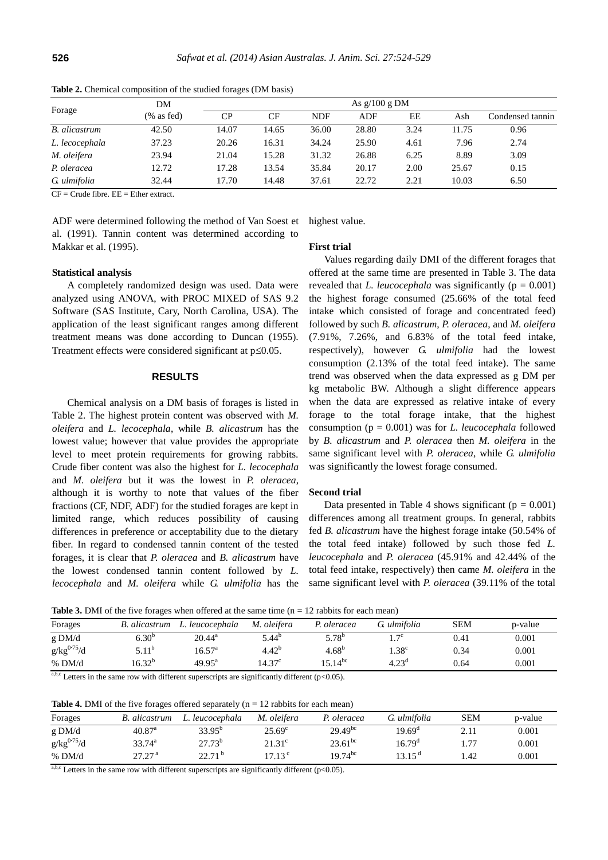| Forage               | DM            | As $g/100 g DM$ |       |            |            |      |       |                  |  |
|----------------------|---------------|-----------------|-------|------------|------------|------|-------|------------------|--|
|                      | $(\%$ as fed) | CP.             | CF    | <b>NDF</b> | <b>ADF</b> | ЕE   | Ash   | Condensed tannin |  |
| <b>B.</b> alicastrum | 42.50         | 14.07           | 14.65 | 36.00      | 28.80      | 3.24 | 11.75 | 0.96             |  |
| L. lecocephala       | 37.23         | 20.26           | 16.31 | 34.24      | 25.90      | 4.61 | 7.96  | 2.74             |  |
| M. oleifera          | 23.94         | 21.04           | 15.28 | 31.32      | 26.88      | 6.25 | 8.89  | 3.09             |  |
| P. oleracea          | 12.72         | 17.28           | 13.54 | 35.84      | 20.17      | 2.00 | 25.67 | 0.15             |  |
| G. ulmifolia         | 32.44         | 17.70           | 14.48 | 37.61      | 22.72      | 2.21 | 10.03 | 6.50             |  |

**Table 2.** Chemical composition of the studied forages (DM basis)

 $CF = Crude fibre$ .  $EE = Ethernet$  extract.

ADF were determined following the method of Van Soest et al. (1991). Tannin content was determined according to Makkar et al. (1995).

highest value.

**First trial**

# **Statistical analysis**

A completely randomized design was used. Data were analyzed using ANOVA, with PROC MIXED of SAS 9.2 Software (SAS Institute, Cary, North Carolina, USA). The application of the least significant ranges among different treatment means was done according to Duncan (1955). Treatment effects were considered significant at  $p \leq 0.05$ .

### **RESULTS**

Chemical analysis on a DM basis of forages is listed in Table 2. The highest protein content was observed with *M. oleifera* and *L. lecocephala*, while *B. alicastrum* has the lowest value; however that value provides the appropriate level to meet protein requirements for growing rabbits. Crude fiber content was also the highest for *L. lecocephala* and *M. oleifera* but it was the lowest in *P. oleracea*, although it is worthy to note that values of the fiber fractions (CF, NDF, ADF) for the studied forages are kept in limited range, which reduces possibility of causing differences in preference or acceptability due to the dietary fiber. In regard to condensed tannin content of the tested forages, it is clear that *P. oleracea* and *B. alicastrum* have the lowest condensed tannin content followed by *L. lecocephala* and *M. oleifera* while *G. ulmifolia* has the

Values regarding daily DMI of the different forages that offered at the same time are presented in Table 3. The data revealed that *L. leucocephala* was significantly ( $p = 0.001$ ) the highest forage consumed (25.66% of the total feed intake which consisted of forage and concentrated feed) followed by such *B. alicastrum*, *P. oleracea*, and *M. oleifera* (7.91%, 7.26%, and 6.83% of the total feed intake, respectively), however *G. ulmifolia* had the lowest consumption (2.13% of the total feed intake). The same trend was observed when the data expressed as g DM per kg metabolic BW. Although a slight difference appears when the data are expressed as relative intake of every forage to the total forage intake, that the highest consumption (p = 0.001) was for *L. leucocephala* followed by *B. alicastrum* and *P. oleracea* then *M. oleifera* in the same significant level with *P. oleracea*, while *G. ulmifolia* was significantly the lowest forage consumed.

#### **Second trial**

Data presented in Table 4 shows significant ( $p = 0.001$ ) differences among all treatment groups. In general, rabbits fed *B. alicastrum* have the highest forage intake (50.54% of the total feed intake) followed by such those fed *L. leucocephala* and *P. oleracea* (45.91% and 42.44% of the total feed intake, respectively) then came *M. oleifera* in the same significant level with *P. oleracea* (39.11% of the total

**Table 3.** DMI of the five forages when offered at the same time (n = 12 rabbits for each mean)

| Forages                 | <b>B.</b> alicastrum | L. leucocephala    | M. oleifera     | P. oleracea  | G ulmifolia    | <b>SEM</b> | p-value |
|-------------------------|----------------------|--------------------|-----------------|--------------|----------------|------------|---------|
| g DM/d                  | $6.30^{b}$           | $20.44^{\rm a}$    | $5.44^{b}$      | $5.78^{b}$   | $\tau c$       | 0.41       | 0.001   |
| g/kg <sup>0.75</sup> /d | $5.11^{b}$           | $16.57^{\circ}$    | $4.42^{b}$      | $4.68^{p}$   | $1.38^\circ$   | 0.34       | 0.001   |
| % DM/d                  | $16.32^{b}$          | $49.95^{\text{a}}$ | $14.37^{\circ}$ | $15.14^{bc}$ | $4.23^{\circ}$ | 0.64       | 0.001   |
|                         |                      |                    |                 |              |                |            |         |

a,b,c Letters in the same row with different superscripts are significantly different ( $p$ <0.05).

**Table 4.** DMI of the five forages offered separately  $(n = 12 \text{ rabbits}$  for each mean)

| Forages         | <b>B.</b> alicastrum | L. leucocephala | M. oleifera      | P. oleracea  | G. ulmifolia       | <b>SEM</b> | p-value   |
|-----------------|----------------------|-----------------|------------------|--------------|--------------------|------------|-----------|
| $g$ DM/d        | $40.87^{\rm a}$      | $33.95^{b}$     | $25.69^{\circ}$  | $29.49^{bc}$ | $19.69^{\circ}$    | 2.11       | 0.001     |
| $g/kg^{0.75}/d$ | $33.74^{\circ}$      | $27.73^{b}$     | $21.31^{\circ}$  | $23.61^{bc}$ | $16.79^{\circ}$    | 1.77       | 0.001     |
| $%$ DM/d        | $27.27^{\text{ a}}$  | $22.71^{b}$     | 17.13 $^{\circ}$ | $19.74^{bc}$ | 13.15 <sup>d</sup> | l.42       | $0.001\,$ |

a,b,c Letters in the same row with different superscripts are significantly different ( $p<0.05$ ).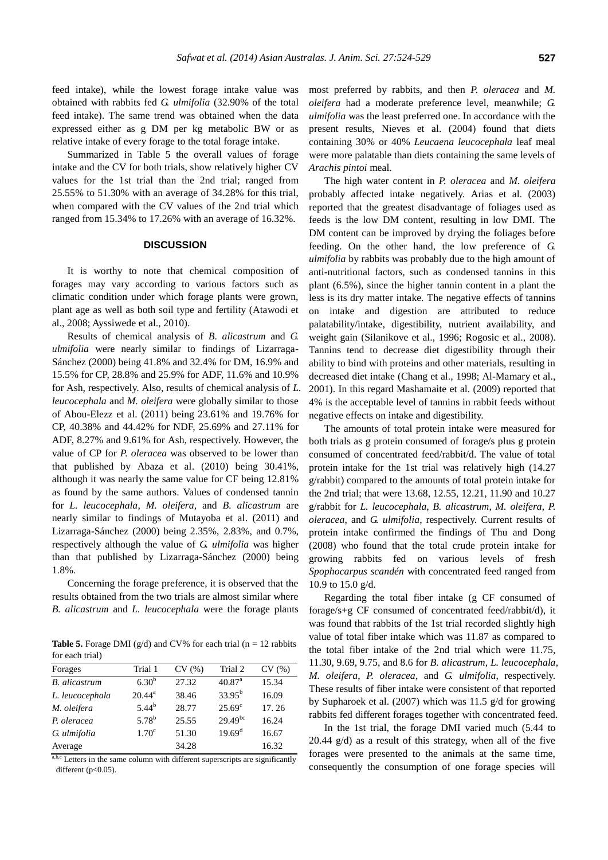feed intake), while the lowest forage intake value was obtained with rabbits fed *G. ulmifolia* (32.90% of the total feed intake). The same trend was obtained when the data expressed either as g DM per kg metabolic BW or as relative intake of every forage to the total forage intake.

Summarized in Table 5 the overall values of forage intake and the CV for both trials, show relatively higher CV values for the 1st trial than the 2nd trial; ranged from 25.55% to 51.30% with an average of 34.28% for this trial, when compared with the CV values of the 2nd trial which ranged from 15.34% to 17.26% with an average of 16.32%.

# **DISCUSSION**

It is worthy to note that chemical composition of forages may vary according to various factors such as climatic condition under which forage plants were grown, plant age as well as both soil type and fertility (Atawodi et al., 2008; Ayssiwede et al., 2010).

Results of chemical analysis of *B. alicastrum* and *G. ulmifolia* were nearly similar to findings of Lizarraga-Sánchez (2000) being 41.8% and 32.4% for DM, 16.9% and 15.5% for CP, 28.8% and 25.9% for ADF, 11.6% and 10.9% for Ash, respectively. Also, results of chemical analysis of *L. leucocephala* and *M. oleifera* were globally similar to those of Abou-Elezz et al. (2011) being 23.61% and 19.76% for CP, 40.38% and 44.42% for NDF, 25.69% and 27.11% for ADF, 8.27% and 9.61% for Ash, respectively. However, the value of CP for *P. oleracea* was observed to be lower than that published by Abaza et al. (2010) being 30.41%, although it was nearly the same value for CF being 12.81% as found by the same authors. Values of condensed tannin for *L. leucocephala*, *M. oleifera*, and *B. alicastrum* are nearly similar to findings of Mutayoba et al. (2011) and Lizarraga-Sánchez (2000) being 2.35%, 2.83%, and 0.7%, respectively although the value of *G. ulmifolia* was higher than that published by Lizarraga-Sánchez (2000) being 1.8%.

Concerning the forage preference, it is observed that the results obtained from the two trials are almost similar where *B. alicastrum* and *L. leucocephala* were the forage plants

**Table 5.** Forage DMI ( $g/d$ ) and CV% for each trial ( $n = 12$  rabbits for each trial)

| Forages              | Trial 1           | CV(%) | Trial 2            | CV(%) |
|----------------------|-------------------|-------|--------------------|-------|
| <b>B.</b> alicastrum | $6.30^{b}$        | 27.32 | 40.87 <sup>a</sup> | 15.34 |
| L. leucocephala      | $20.44^{\rm a}$   | 38.46 | $33.95^{b}$        | 16.09 |
| M. oleifera          | $5.44^{b}$        | 28.77 | $25.69^{\circ}$    | 17.26 |
| P. oleracea          | $5.78^{b}$        | 25.55 | $29.49^{bc}$       | 16.24 |
| G. ulmifolia         | 1.70 <sup>c</sup> | 51.30 | $19.69^{\rm d}$    | 16.67 |
| Average              |                   | 34.28 |                    | 16.32 |

a,b,c Letters in the same column with different superscripts are significantly different ( $p<0.05$ ).

most preferred by rabbits, and then *P. oleracea* and *M. oleifera* had a moderate preference level, meanwhile; *G. ulmifolia* was the least preferred one. In accordance with the present results, Nieves et al. (2004) found that diets containing 30% or 40% *Leucaena leucocephala* leaf meal were more palatable than diets containing the same levels of *Arachis pintoi* meal.

The high water content in *P. oleracea* and *M. oleifera* probably affected intake negatively. Arias et al. (2003) reported that the greatest disadvantage of foliages used as feeds is the low DM content, resulting in low DMI. The DM content can be improved by drying the foliages before feeding. On the other hand, the low preference of *G. ulmifolia* by rabbits was probably due to the high amount of anti-nutritional factors, such as condensed tannins in this plant (6.5%), since the higher tannin content in a plant the less is its dry matter intake. The negative effects of tannins on intake and digestion are attributed to reduce palatability/intake, digestibility, nutrient availability, and weight gain (Silanikove et al., 1996; Rogosic et al., 2008). Tannins tend to decrease diet digestibility through their ability to bind with proteins and other materials, resulting in decreased diet intake (Chang et al., 1998; Al-Mamary et al., 2001). In this regard Mashamaite et al. (2009) reported that 4% is the acceptable level of tannins in rabbit feeds without negative effects on intake and digestibility.

The amounts of total protein intake were measured for both trials as g protein consumed of forage/s plus g protein consumed of concentrated feed/rabbit/d. The value of total protein intake for the 1st trial was relatively high (14.27 g/rabbit) compared to the amounts of total protein intake for the 2nd trial; that were 13.68, 12.55, 12.21, 11.90 and 10.27 g/rabbit for *L. leucocephala*, *B. alicastrum*, *M. oleifera*, *P. oleracea*, and *G. ulmifolia*, respectively. Current results of protein intake confirmed the findings of Thu and Dong (2008) who found that the total crude protein intake for growing rabbits fed on various levels of fresh *Spophocarpus scandén* with concentrated feed ranged from 10.9 to 15.0 g/d.

Regarding the total fiber intake (g CF consumed of forage/s+g CF consumed of concentrated feed/rabbit/d), it was found that rabbits of the 1st trial recorded slightly high value of total fiber intake which was 11.87 as compared to the total fiber intake of the 2nd trial which were 11.75, 11.30, 9.69, 9.75, and 8.6 for *B. alicastrum*, *L. leucocephala*, *M. oleifera*, *P. oleracea*, and *G. ulmifolia*, respectively. These results of fiber intake were consistent of that reported by Supharoek et al. (2007) which was 11.5 g/d for growing rabbits fed different forages together with concentrated feed.

In the 1st trial, the forage DMI varied much (5.44 to 20.44 g/d) as a result of this strategy, when all of the five forages were presented to the animals at the same time, consequently the consumption of one forage species will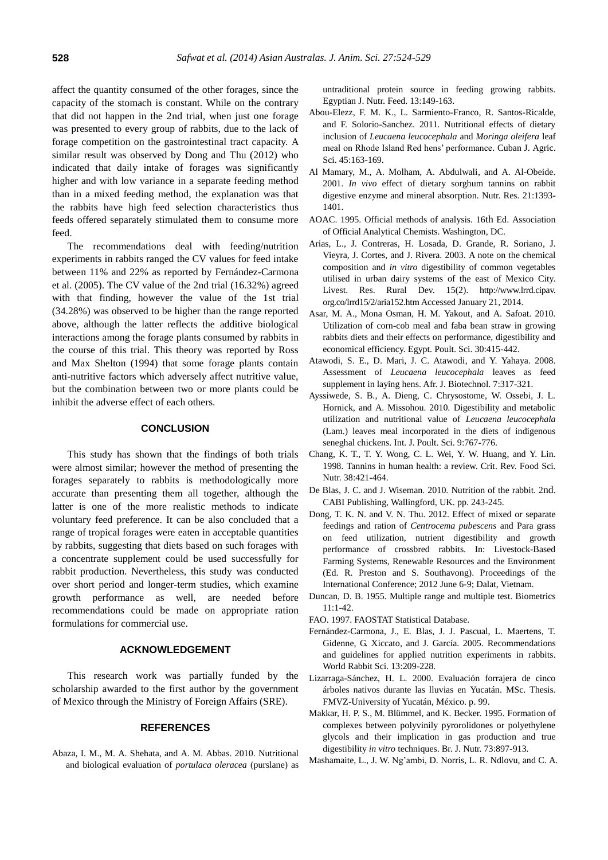affect the quantity consumed of the other forages, since the capacity of the stomach is constant. While on the contrary that did not happen in the 2nd trial, when just one forage was presented to every group of rabbits, due to the lack of forage competition on the gastrointestinal tract capacity. A similar result was observed by Dong and Thu (2012) who indicated that daily intake of forages was significantly higher and with low variance in a separate feeding method than in a mixed feeding method, the explanation was that the rabbits have high feed selection characteristics thus feeds offered separately stimulated them to consume more feed.

The recommendations deal with feeding/nutrition experiments in rabbits ranged the CV values for feed intake between 11% and 22% as reported by Fernández-Carmona et al. (2005). The CV value of the 2nd trial (16.32%) agreed with that finding, however the value of the 1st trial (34.28%) was observed to be higher than the range reported above, although the latter reflects the additive biological interactions among the forage plants consumed by rabbits in the course of this trial. This theory was reported by Ross and Max Shelton (1994) that some forage plants contain anti-nutritive factors which adversely affect nutritive value, but the combination between two or more plants could be inhibit the adverse effect of each others.

# **CONCLUSION**

This study has shown that the findings of both trials were almost similar; however the method of presenting the forages separately to rabbits is methodologically more accurate than presenting them all together, although the latter is one of the more realistic methods to indicate voluntary feed preference. It can be also concluded that a range of tropical forages were eaten in acceptable quantities by rabbits, suggesting that diets based on such forages with a concentrate supplement could be used successfully for rabbit production. Nevertheless, this study was conducted over short period and longer-term studies, which examine growth performance as well, are needed before recommendations could be made on appropriate ration formulations for commercial use.

# **ACKNOWLEDGEMENT**

This research work was partially funded by the scholarship awarded to the first author by the government of Mexico through the Ministry of Foreign Affairs (SRE).

#### **REFERENCES**

Abaza, I. M., M. A. Shehata, and A. M. Abbas. 2010. Nutritional and biological evaluation of *portulaca oleracea* (purslane) as untraditional protein source in feeding growing rabbits. Egyptian J. Nutr. Feed. 13:149-163.

- Abou-Elezz, F. M. K., L. Sarmiento-Franco, R. Santos-Ricalde, and F. Solorio-Sanchez. 2011. [Nutritional effects of dietary](http://ediciones.ica.edu.cu/index.php/CJAS/article/view/137)  inclusion of *[Leucaena leucocephala](http://ediciones.ica.edu.cu/index.php/CJAS/article/view/137)* and *Moringa oleifera* leaf [meal on Rhode Island Red hens' performance.](http://ediciones.ica.edu.cu/index.php/CJAS/article/view/137) Cuban J. Agric. Sci. 45:163-169.
- Al Mamary, M., A. Molham, A. Abdulwali, and A. Al-Obeide. 2001. *In vivo* [effect of dietary sorghum tannins on rabbit](http://www.sciencedirect.com/science/article/pii/S0271531701003347)  [digestive enzyme and mineral absorption.](http://www.sciencedirect.com/science/article/pii/S0271531701003347) Nutr. Res. 21:1393- 1401.
- AOAC. 1995. Official methods of analysis. 16th Ed. Association of Official Analytical Chemists. Washington, DC.
- Arias, L., J. Contreras, H. Losada, D. Grande, R. Soriano, J. Vieyra, J. Cortes, and J. Rivera. 2003. [A note on the chemical](http://www.lrrd.cipav.org.co/lrrd15/2/aria152.htm)  composition and *in vitro* [digestibility of common vegetables](http://www.lrrd.cipav.org.co/lrrd15/2/aria152.htm)  [utilised in urban dairy systems of the east of Mexico City.](http://www.lrrd.cipav.org.co/lrrd15/2/aria152.htm) Livest. Res. Rural Dev. 15(2). http://www.lrrd.cipav. org.co/lrrd15/2/aria152.htm Accessed January 21, 2014.
- Asar, M. A., Mona Osman, H. M. Yakout, and A. Safoat. 2010. Utilization of corn-cob meal and faba bean straw in growing rabbits diets and their effects on performance, digestibility and economical efficiency. Egypt. Poult. Sci. 30:415-442.
- Atawodi, S. E., D. Mari, J. C. Atawodi, and Y. Yahaya. 2008. Assessment of *[Leucaena leucocephala](http://www.aseanbiotechnology.info/Abstract/21029959.pdf)* leaves as feed [supplement in laying hens.](http://www.aseanbiotechnology.info/Abstract/21029959.pdf) Afr. J. Biotechnol. 7:317-321.
- Ayssiwede, S. B., A. Dieng, C. Chrysostome, W. Ossebi, J. L. Hornick, and A. Missohou. 2010. [Digestibility and metabolic](http://www.pjbs.org/ijps/fin1772.pdf)  [utilization and nutritional value of](http://www.pjbs.org/ijps/fin1772.pdf) *Leucaena leucocephala* [\(Lam.\) leaves meal incorporated in the diets of indigenous](http://www.pjbs.org/ijps/fin1772.pdf)  [seneghal chickens.](http://www.pjbs.org/ijps/fin1772.pdf) Int. J. Poult. Sci. 9:767-776.
- Chang, K. T., T. Y. Wong, C. L. Wei, Y. W. Huang, and Y. Lin. 1998. [Tannins in human health:](http://www.tandfonline.com/doi/abs/10.1080/10408699891274273#.Ut5TD9LV-Hs) a review. Crit. Rev. Food Sci. Nutr. 38:421-464.
- De Blas, J. C. and J. Wiseman. 2010. Nutrition of the rabbit. 2nd. CABI Publishing, Wallingford, UK. pp. 243-245.
- Dong, T. K. N. and V. N. Thu. 2012. Effect of mixed or separate feedings and ration of *Centrocema pubescens* and Para grass on feed utilization, nutrient digestibility and growth performance of crossbred rabbits. In: Livestock-Based Farming Systems, Renewable Resources and the Environment (Ed. R. Preston and S. Southavong). Proceedings of the International Conference; 2012 June 6-9; Dalat, Vietnam.
- Duncan, D. B. 1955. [Multiple range and multiple test.](http://www.jstor.org/discover/10.2307/3001478?uid=3738392&uid=2&uid=4&sid=21103304999497) Biometrics 11:1-42.

FAO. 1997. FAOSTAT Statistical Database.

- Fernández-Carmona, J., E. Blas, J. J. Pascual, L. Maertens, T. Gidenne, G. Xiccato, and J. García. 2005. [Recommendations](http://ojs.cc.upv.es/index.php/wrs/article/view/516/503)  [and guidelines for applied nutrition experiments in rabbits.](http://ojs.cc.upv.es/index.php/wrs/article/view/516/503) World Rabbit Sci. 13:209-228.
- Lizarraga-Sánchez, H. L. 2000. Evaluación forrajera de cinco árboles nativos durante las lluvias en Yucatán. MSc. Thesis. FMVZ-University of Yucatán, México. p. 99.
- Makkar, H. P. S., M. Blümmel, and K. Becker. 1995. [Formation of](http://journals.cambridge.org/action/displayAbstract?fromPage=online&aid=896024)  [complexes between polyvinily pyrorolidones or polyethylene](http://journals.cambridge.org/action/displayAbstract?fromPage=online&aid=896024)  [glycols and their implication in](http://journals.cambridge.org/action/displayAbstract?fromPage=online&aid=896024) gas production and true [digestibility](http://journals.cambridge.org/action/displayAbstract?fromPage=online&aid=896024) *in vitro* techniques. Br. J. Nutr. 73:897-913.
- Mashamaite, L., J. W. Ng'ambi, D. Norris, L. R. Ndlovu, and C. A.